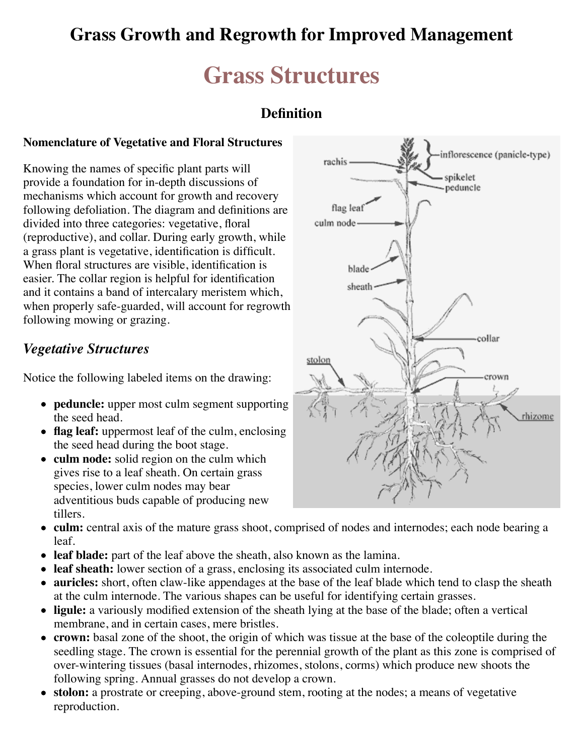## **Grass Growth and Regrowth for Improved Management**

## **Grass Structures**

## **Definition**

#### **Nomenclature of Vegetative and Floral Structures**

Knowing the names of specific plant parts will provide a foundation for in-depth discussions of mechanisms which account for growth and recovery following defoliation. The diagram and definitions are divided into three categories: vegetative, floral (reproductive), and collar. During early growth, while a grass plant is vegetative, identification is difficult. When floral structures are visible, identification is easier. The collar region is helpful for identification and it contains a band of intercalary meristem which, when properly safe-guarded, will account for regrowth following mowing or grazing.

### *Vegetative Structures*

Notice the following labeled items on the drawing:

- **peduncle:** upper most culm segment supporting the seed head.
- **flag leaf:** uppermost leaf of the culm, enclosing the seed head during the boot stage.
- **culm node:** solid region on the culm which gives rise to a leaf sheath. On certain grass species, lower culm nodes may bear adventitious buds capable of producing new tillers.



- **culm:** central axis of the mature grass shoot, comprised of nodes and internodes; each node bearing a leaf.
- **leaf blade:** part of the leaf above the sheath, also known as the lamina.
- **leaf sheath:** lower section of a grass, enclosing its associated culm internode.
- **auricles:** short, often claw-like appendages at the base of the leaf blade which tend to clasp the sheath at the culm internode. The various shapes can be useful for identifying certain grasses.
- **ligule:** a variously modified extension of the sheath lying at the base of the blade; often a vertical membrane, and in certain cases, mere bristles.
- **crown:** basal zone of the shoot, the origin of which was tissue at the base of the coleoptile during the seedling stage. The crown is essential for the perennial growth of the plant as this zone is comprised of over-wintering tissues (basal internodes, rhizomes, stolons, corms) which produce new shoots the following spring. Annual grasses do not develop a crown.
- **stolon:** a prostrate or creeping, above-ground stem, rooting at the nodes; a means of vegetative reproduction.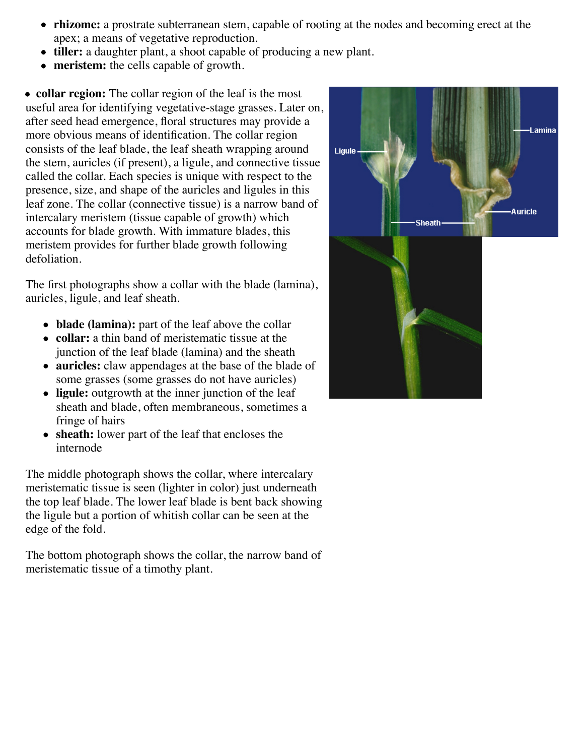- **rhizome:** a prostrate subterranean stem, capable of rooting at the nodes and becoming erect at the apex; a means of vegetative reproduction.
- **tiller:** a daughter plant, a shoot capable of producing a new plant.
- **meristem:** the cells capable of growth.

**collar region:** The collar region of the leaf is the most useful area for identifying vegetative-stage grasses. Later on, after seed head emergence, floral structures may provide a more obvious means of identification. The collar region consists of the leaf blade, the leaf sheath wrapping around the stem, auricles (if present), a ligule, and connective tissue called the collar. Each species is unique with respect to the presence, size, and shape of the auricles and ligules in this leaf zone. The collar (connective tissue) is a narrow band of intercalary meristem (tissue capable of growth) which accounts for blade growth. With immature blades, this meristem provides for further blade growth following defoliation.

The first photographs show a collar with the blade (lamina), auricles, ligule, and leaf sheath.

- **blade (lamina):** part of the leaf above the collar
- **collar:** a thin band of meristematic tissue at the junction of the leaf blade (lamina) and the sheath
- **auricles:** claw appendages at the base of the blade of some grasses (some grasses do not have auricles)
- ligule: outgrowth at the inner junction of the leaf sheath and blade, often membraneous, sometimes a fringe of hairs
- **sheath:** lower part of the leaf that encloses the internode

The middle photograph shows the collar, where intercalary meristematic tissue is seen (lighter in color) just underneath the top leaf blade. The lower leaf blade is bent back showing the ligule but a portion of whitish collar can be seen at the edge of the fold.

The bottom photograph shows the collar, the narrow band of meristematic tissue of a timothy plant.

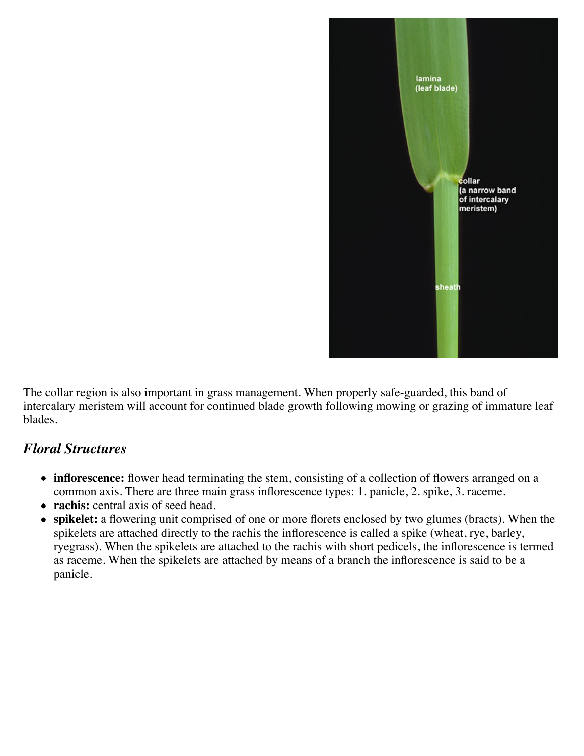

The collar region is also important in grass management. When properly safe-guarded, this band of intercalary meristem will account for continued blade growth following mowing or grazing of immature leaf blades.

### *Floral Structures*

- **inflorescence:** flower head terminating the stem, consisting of a collection of flowers arranged on a common axis. There are three main grass inflorescence types: 1. panicle, 2. spike, 3. raceme.
- **rachis:** central axis of seed head.
- **spikelet:** a flowering unit comprised of one or more florets enclosed by two glumes (bracts). When the spikelets are attached directly to the rachis the inflorescence is called a spike (wheat, rye, barley, ryegrass). When the spikelets are attached to the rachis with short pedicels, the inflorescence is termed as raceme. When the spikelets are attached by means of a branch the inflorescence is said to be a panicle.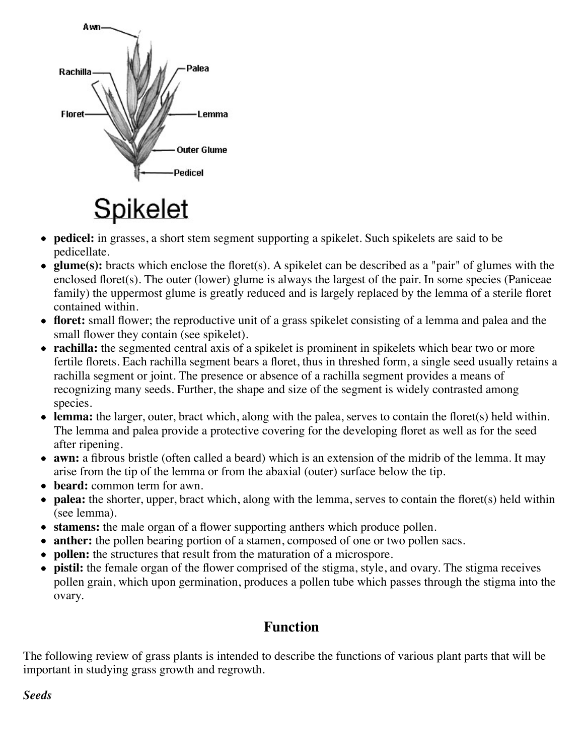

# **Spikelet**

- **pedicel:** in grasses, a short stem segment supporting a spikelet. Such spikelets are said to be pedicellate.
- **glume(s):** bracts which enclose the floret(s). A spikelet can be described as a "pair" of glumes with the enclosed floret(s). The outer (lower) glume is always the largest of the pair. In some species (Paniceae family) the uppermost glume is greatly reduced and is largely replaced by the lemma of a sterile floret contained within.
- **floret:** small flower; the reproductive unit of a grass spikelet consisting of a lemma and palea and the small flower they contain (see spikelet).
- **rachilla:** the segmented central axis of a spikelet is prominent in spikelets which bear two or more fertile florets. Each rachilla segment bears a floret, thus in threshed form, a single seed usually retains a rachilla segment or joint. The presence or absence of a rachilla segment provides a means of recognizing many seeds. Further, the shape and size of the segment is widely contrasted among species.
- **lemma:** the larger, outer, bract which, along with the palea, serves to contain the floret(s) held within. The lemma and palea provide a protective covering for the developing floret as well as for the seed after ripening.
- **awn:** a fibrous bristle (often called a beard) which is an extension of the midrib of the lemma. It may arise from the tip of the lemma or from the abaxial (outer) surface below the tip.
- **beard:** common term for awn.
- **palea:** the shorter, upper, bract which, along with the lemma, serves to contain the floret(s) held within (see lemma).
- **stamens:** the male organ of a flower supporting anthers which produce pollen.
- **anther:** the pollen bearing portion of a stamen, composed of one or two pollen sacs.
- **pollen:** the structures that result from the maturation of a microspore.
- **pistil:** the female organ of the flower comprised of the stigma, style, and ovary. The stigma receives pollen grain, which upon germination, produces a pollen tube which passes through the stigma into the ovary.

## **Function**

The following review of grass plants is intended to describe the functions of various plant parts that will be important in studying grass growth and regrowth.

#### *Seeds*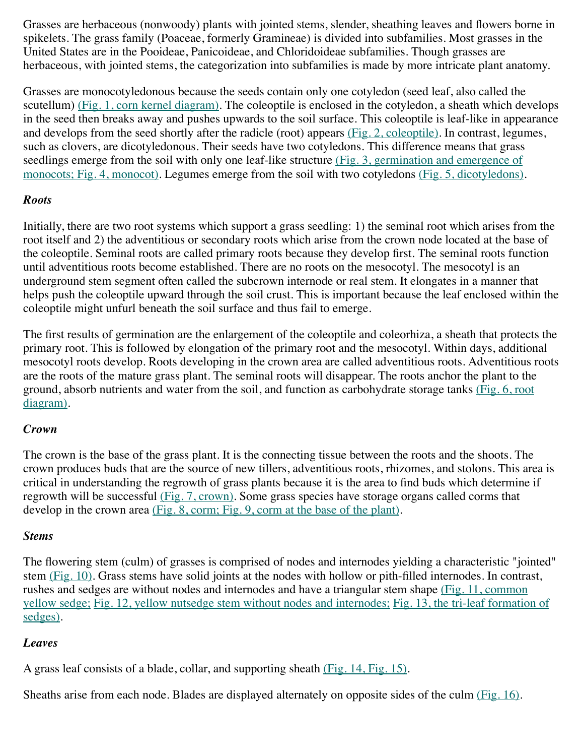Grasses are herbaceous (nonwoody) plants with jointed stems, slender, sheathing leaves and flowers borne in spikelets. The grass family (Poaceae, formerly Gramineae) is divided into subfamilies. Most grasses in the United States are in the Pooideae, Panicoideae, and Chloridoideae subfamilies. Though grasses are herbaceous, with jointed stems, the categorization into subfamilies is made by more intricate plant anatomy.

Grasses are monocotyledonous because the seeds contain only one cotyledon (seed leaf, also called the scutellum) [\(Fig. 1, corn kernel diagram\).](http://www.fsl.orst.edu/forages/projects/regrowth/cornseed.jpg) The coleoptile is enclosed in the cotyledon, a sheath which develops in the seed then breaks away and pushes upwards to the soil surface. This coleoptile is leaf-like in appearance and develops from the seed shortly after the radicle (root) appears [\(Fig. 2, coleoptile\).](http://www.fsl.orst.edu/forages/projects/regrowth/coleoptile.jpg) In contrast, legumes, such as clovers, are dicotyledonous. Their seeds have two cotyledons. This difference means that grass [seedlings emerge from the soil with only one leaf-like structure \(Fig. 3, germination and emergence of](http://www.fsl.orst.edu/forages/projects/regrowth/stages.gif) monocots; [Fig. 4, monocot\).](http://www.fsl.orst.edu/forages/projects/regrowth/monocot.jpg) Legumes emerge from the soil with two cotyledons [\(Fig. 5, dicotyledons\).](http://www.fsl.orst.edu/forages/projects/regrowth/dicot.jpg)

#### *Roots*

Initially, there are two root systems which support a grass seedling: 1) the seminal root which arises from the root itself and 2) the adventitious or secondary roots which arise from the crown node located at the base of the coleoptile. Seminal roots are called primary roots because they develop first. The seminal roots function until adventitious roots become established. There are no roots on the mesocotyl. The mesocotyl is an underground stem segment often called the subcrown internode or real stem. It elongates in a manner that helps push the coleoptile upward through the soil crust. This is important because the leaf enclosed within the coleoptile might unfurl beneath the soil surface and thus fail to emerge.

The first results of germination are the enlargement of the coleoptile and coleorhiza, a sheath that protects the primary root. This is followed by elongation of the primary root and the mesocotyl. Within days, additional mesocotyl roots develop. Roots developing in the crown area are called adventitious roots. Adventitious roots are the roots of the mature grass plant. The seminal roots will disappear. The roots anchor the plant to the [ground, absorb nutrients and water from the soil, and function as carbohydrate storage tanks \(Fig. 6, root](http://www.fsl.orst.edu/forages/projects/regrowth/rootsystem.jpg) diagram).

#### *Crown*

The crown is the base of the grass plant. It is the connecting tissue between the roots and the shoots. The crown produces buds that are the source of new tillers, adventitious roots, rhizomes, and stolons. This area is critical in understanding the regrowth of grass plants because it is the area to find buds which determine if regrowth will be successful [\(Fig. 7, crown\).](http://www.fsl.orst.edu/forages/projects/regrowth/grass_diagram1.jpg) Some grass species have storage organs called corms that develop in the crown area [\(Fig. 8, corm;](http://www.fsl.orst.edu/forages/projects/regrowth/corm.JPG) [Fig. 9, corm at the base of the plant\).](http://www.fsl.orst.edu/forages/projects/regrowth/timothy_shoots.JPG)

#### *Stems*

The flowering stem (culm) of grasses is comprised of nodes and internodes yielding a characteristic "jointed" stem [\(Fig. 10\).](http://www.fsl.orst.edu/forages/projects/regrowth/joint.jpg) Grass stems have solid joints at the nodes with hollow or pith-filled internodes. In contrast, [rushes and sedges are without nodes and internodes and have a triangular stem shape \(Fig. 11, common](http://www.fsl.orst.edu/forages/projects/regrowth/sedge.jpg) yellow sedge; [Fig. 12, yellow nutsedge stem without nodes and internodes](http://www.fsl.orst.edu/forages/projects/regrowth/sedge2.jpg)[;](http://www.fsl.orst.edu/forages/projects/regrowth/tri-leaf.jpg) Fig. 13, the tri-leaf formation of sedges).

#### *Leaves*

A grass leaf consists of a blade, collar, and supporting sheath [\(Fig. 14,](http://www.fsl.orst.edu/forages/projects/regrowth/part.jpg) [Fig. 15\).](http://www.fsl.orst.edu/forages/projects/regrowth/sheath.jpg)

Sheaths arise from each node. Blades are displayed alternately on opposite sides of the culm [\(Fig. 16\).](http://www.fsl.orst.edu/forages/projects/regrowth/culm.jpg)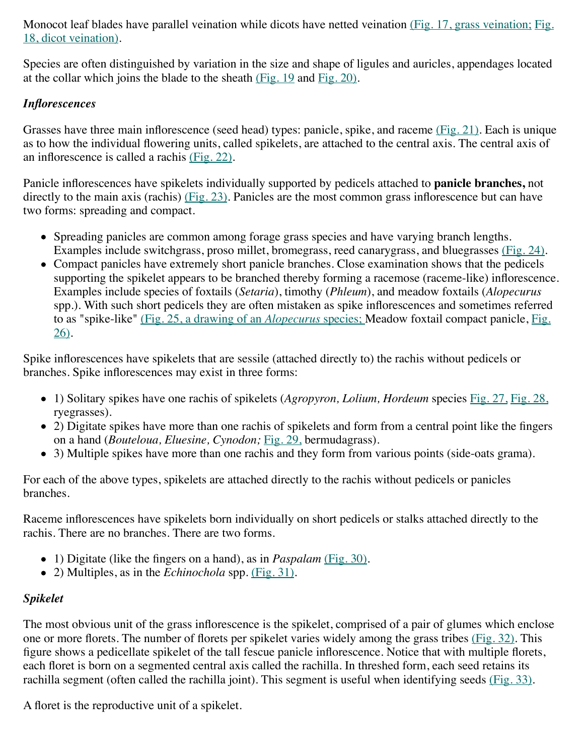[Monocot leaf blades have parallel veination while dicots have netted veination](http://www.fsl.orst.edu/forages/projects/regrowth/1836_089.jpg) [\(Fig. 17, grass veination;](http://www.fsl.orst.edu/forages/projects/regrowth/veins2.jpg) Fig. 18, dicot veination).

Species are often distinguished by variation in the size and shape of ligules and auricles, appendages located at the collar which joins the blade to the sheath  $(Fig. 19$  and  $Fig. 20)$ .

#### *Inflorescences*

Grasses have three main inflorescence (seed head) types: panicle, spike, and raceme [\(Fig. 21\).](http://www.fsl.orst.edu/forages/projects/regrowth/comparison.jpg) Each is unique as to how the individual flowering units, called spikelets, are attached to the central axis. The central axis of an inflorescence is called a rachis [\(Fig. 22\).](http://www.fsl.orst.edu/forages/projects/regrowth/grass_diagram1.jpg)

Panicle inflorescences have spikelets individually supported by pedicels attached to **panicle branches,** not directly to the main axis (rachis) [\(Fig. 23\).](http://www.fsl.orst.edu/forages/projects/regrowth/paniclebranch.jpg) Panicles are the most common grass inflorescence but can have two forms: spreading and compact.

- Spreading panicles are common among forage grass species and have varying branch lengths. Examples include switchgrass, proso millet, bromegrass, reed canarygrass, and bluegrasses [\(Fig. 24\).](http://www.fsl.orst.edu/forages/projects/regrowth/photos/tall_fescue/inflor.jpg)
- Compact panicles have extremely short panicle branches. Close examination shows that the pedicels supporting the spikelet appears to be branched thereby forming a racemose (raceme-like) inflorescence. Examples include species of foxtails (*Setaria*), timothy (*Phleum*), and meadow foxtails (*Alopecurus* spp.). With such short pedicels they are often mistaken as spike inflorescences and sometimes referred to as "spike-like" [\(Fig. 25, a drawing of an](http://www.fsl.orst.edu/topics/species/images/racemose.jpg) *Alopecurus* [species; Meadow foxtail compact panicle, Fig.](http://www.fsl.orst.edu/topics/species/m_foxtail/inflor.jpg) 26).

Spike inflorescences have spikelets that are sessile (attached directly to) the rachis without pedicels or branches. Spike inflorescences may exist in three forms:

- 1) Solitary spikes have one rachis of spikelets (*Agropyron, Lolium, Hordeum* species [Fig. 27,](http://www.fsl.orst.edu/forages/projects/regrowth/Perennial_ryegrass_drawing.jpg) [Fig. 28,](http://www.fsl.orst.edu/forages/projects/regrowth/inflor.jpg) ryegrasses).
- 2) Digitate spikes have more than one rachis of spikelets and form from a central point like the fingers on a hand (*Bouteloua, Eluesine, Cynodon;* [Fig. 29,](http://www.fsl.orst.edu/media_library/bermudagrass/screen/sketches/bermudagrass_sketches.jpg) bermudagrass).
- 3) Multiple spikes have more than one rachis and they form from various points (side-oats grama).

For each of the above types, spikelets are attached directly to the rachis without pedicels or panicles branches.

Raceme inflorescences have spikelets born individually on short pedicels or stalks attached directly to the rachis. There are no branches. There are two forms.

- 1) Digitate (like the fingers on a hand), as in *Paspalam* [\(Fig. 30\).](http://www.fsl.orst.edu/forages/projects/regrowth/Paspalum_notatum.jpg)
- 2) Multiples, as in the *Echinochola* spp. [\(Fig. 31\).](http://www.fsl.orst.edu/forages/projects/regrowth/Echinochloa_colonum.jpg)

#### *Spikelet*

The most obvious unit of the grass inflorescence is the spikelet, comprised of a pair of glumes which enclose one or more florets. The number of florets per spikelet varies widely among the grass tribes [\(Fig. 32\).](http://www.fsl.orst.edu/forages/projects/regrowth/spikelet_diagram.jpg) This figure shows a pedicellate spikelet of the tall fescue panicle inflorescence. Notice that with multiple florets, each floret is born on a segmented central axis called the rachilla. In threshed form, each seed retains its rachilla segment (often called the rachilla joint). This segment is useful when identifying seeds [\(Fig. 33\).](http://www.fsl.orst.edu/forages/projects/regrowth/seed.jpg)

A floret is the reproductive unit of a spikelet.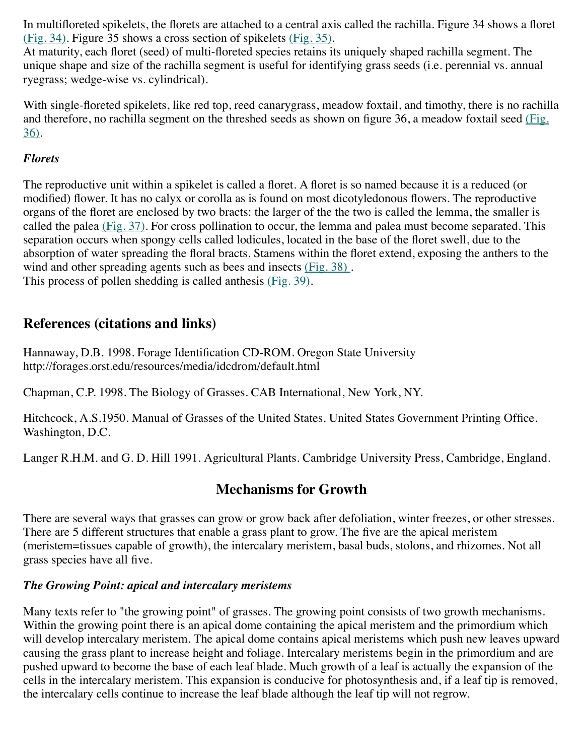In multifloreted spikelets, the florets are attached to a central axis called the rachilla. Figure 34 shows a floret [\(Fig. 34\)](http://www.fsl.orst.edu/forages/projects/regrowth/floret.jpg). Figure 35 shows a cross section of spikelets [\(Fig. 35\).](http://www.fsl.orst.edu/forages/projects/regrowth/spikelet_x-section.jpg)

At maturity, each floret (seed) of multi-floreted species retains its uniquely shaped rachilla segment. The unique shape and size of the rachilla segment is useful for identifying grass seeds (i.e. perennial vs. annual ryegrass; wedge-wise vs. cylindrical).

With single-floreted spikelets, like red top, reed canarygrass, meadow foxtail, and timothy, there is no rachilla [and therefore, no rachilla segment on the threshed seeds as shown on figure 36, a meadow foxtail seed \(Fig.](http://www.fsl.orst.edu/topics/species/m_foxtail/fox_seed.jpg) 36).

#### *Florets*

The reproductive unit within a spikelet is called a floret. A floret is so named because it is a reduced (or modified) flower. It has no calyx or corolla as is found on most dicotyledonous flowers. The reproductive organs of the floret are enclosed by two bracts: the larger of the the two is called the lemma, the smaller is called the palea  $(Fig. 37)$ . For cross pollination to occur, the lemma and palea must become separated. This separation occurs when spongy cells called lodicules, located in the base of the floret swell, due to the absorption of water spreading the floral bracts. Stamens within the floret extend, exposing the anthers to the wind and other spreading agents such as bees and insects (Fig. 38). This process of pollen shedding is called anthesis [\(Fig. 39\)](http://www.fsl.orst.edu/forages/projects/regrowth/inflor2.jpg).

## **References (citations and links)**

Hannaway, D.B. 1998. Forage Identification CD-ROM. Oregon State University http://forages.orst.edu/resources/media/idcdrom/default.html

Chapman, C.P. 1998. The Biology of Grasses. CAB International, New York, NY.

Hitchcock, A.S.1950. Manual of Grasses of the United States. United States Government Printing Office. Washington, D.C.

Langer R.H.M. and G. D. Hill 1991. Agricultural Plants. Cambridge University Press, Cambridge, England.

## **Mechanisms for Growth**

There are several ways that grasses can grow or grow back after defoliation, winter freezes, or other stresses. There are 5 different structures that enable a grass plant to grow. The five are the apical meristem (meristem=tissues capable of growth), the intercalary meristem, basal buds, stolons, and rhizomes. Not all grass species have all five.

#### *The Growing Point: apical and intercalary meristems*

Many texts refer to "the growing point" of grasses. The growing point consists of two growth mechanisms. Within the growing point there is an apical dome containing the apical meristem and the primordium which will develop intercalary meristem. The apical dome contains apical meristems which push new leaves upward causing the grass plant to increase height and foliage. Intercalary meristems begin in the primordium and are pushed upward to become the base of each leaf blade. Much growth of a leaf is actually the expansion of the cells in the intercalary meristem. This expansion is conducive for photosynthesis and, if a leaf tip is removed, the intercalary cells continue to increase the leaf blade although the leaf tip will not regrow.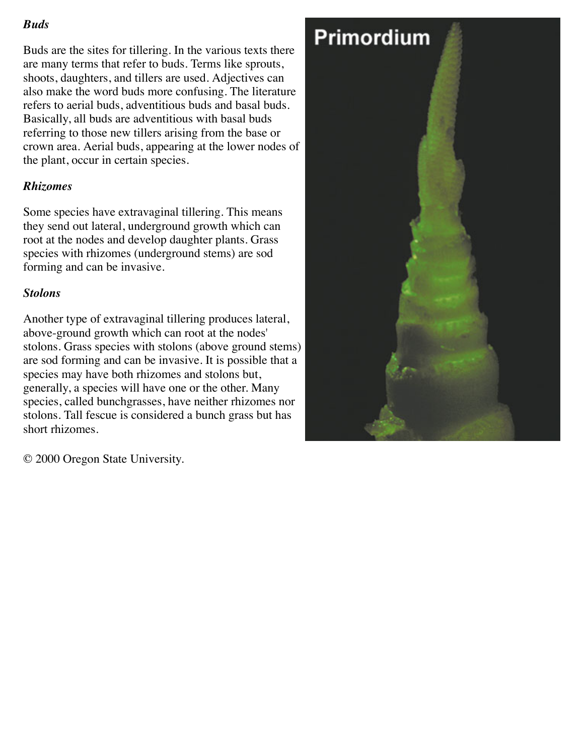#### *Buds*

Buds are the sites for tillering. In the various texts there are many terms that refer to buds. Terms like sprouts, shoots, daughters, and tillers are used. Adjectives can also make the word buds more confusing. The literature refers to aerial buds, adventitious buds and basal buds. Basically, all buds are adventitious with basal buds referring to those new tillers arising from the base or crown area. Aerial buds, appearing at the lower nodes of the plant, occur in certain species.

#### *Rhizomes*

Some species have extravaginal tillering. This means they send out lateral, underground growth which can root at the nodes and develop daughter plants. Grass species with rhizomes (underground stems) are sod forming and can be invasive.

#### *Stolons*

Another type of extravaginal tillering produces lateral, above-ground growth which can root at the nodes' stolons. Grass species with stolons (above ground stems) are sod forming and can be invasive. It is possible that a species may have both rhizomes and stolons but, generally, a species will have one or the other. Many species, called bunchgrasses, have neither rhizomes nor stolons. Tall fescue is considered a bunch grass but has short rhizomes.

© 2000 Oregon State University.